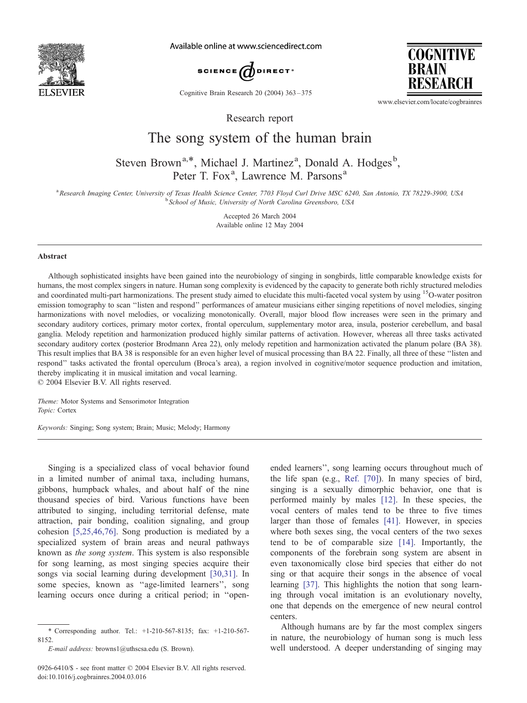

Available online at www.sciencedirect.com



Cognitive Brain Research 20 (2004) 363 – 375

**COGNITIVE BRAIN** RESEARCH

www.elsevier.com/locate/cogbrainres

Research report

# The song system of the human brain

# Steven Brown<sup>a,\*</sup>, Michael J. Martinez<sup>a</sup>, Donald A. Hodges<sup>b</sup>, Peter T. Fox<sup>a</sup>, Lawrence M. Parsons<sup>a</sup>

a<br>Research Imaging Center, University of Texas Health Science Center, 7703 Floyd Curl Drive MSC 6240, San Antonio, TX 78229-3900, USA <sup>b</sup> School of Music, University of North Carolina Greensboro, USA

> Accepted 26 March 2004 Available online 12 May 2004

#### Abstract

Although sophisticated insights have been gained into the neurobiology of singing in songbirds, little comparable knowledge exists for humans, the most complex singers in nature. Human song complexity is evidenced by the capacity to generate both richly structured melodies and coordinated multi-part harmonizations. The present study aimed to elucidate this multi-faceted vocal system by using <sup>15</sup>O-water positron emission tomography to scan ''listen and respond'' performances of amateur musicians either singing repetitions of novel melodies, singing harmonizations with novel melodies, or vocalizing monotonically. Overall, major blood flow increases were seen in the primary and secondary auditory cortices, primary motor cortex, frontal operculum, supplementary motor area, insula, posterior cerebellum, and basal ganglia. Melody repetition and harmonization produced highly similar patterns of activation. However, whereas all three tasks activated secondary auditory cortex (posterior Brodmann Area 22), only melody repetition and harmonization activated the planum polare (BA 38). This result implies that BA 38 is responsible for an even higher level of musical processing than BA 22. Finally, all three of these ''listen and respond'' tasks activated the frontal operculum (Broca's area), a region involved in cognitive/motor sequence production and imitation, thereby implicating it in musical imitation and vocal learning.

 $© 2004 Elsevier B.V. All rights reserved.$ 

Theme: Motor Systems and Sensorimotor Integration Topic: Cortex

Keywords: Singing; Song system; Brain; Music; Melody; Harmony

Singing is a specialized class of vocal behavior found in a limited number of animal taxa, including humans, gibbons, humpback whales, and about half of the nine thousand species of bird. Various functions have been attributed to singing, including territorial defense, mate attraction, pair bonding, coalition signaling, and group cohesion [\[5,25,46,76\].](#page-10-0) Song production is mediated by a specialized system of brain areas and neural pathways known as the song system. This system is also responsible for song learning, as most singing species acquire their songs via social learning during development [\[30,31\].](#page-11-0) In some species, known as ''age-limited learners'', song learning occurs once during a critical period; in ''openended learners'', song learning occurs throughout much of the life span (e.g., [Ref. \[70\]\)](#page-12-0). In many species of bird, singing is a sexually dimorphic behavior, one that is performed mainly by males [\[12\].](#page-10-0) In these species, the vocal centers of males tend to be three to five times larger than those of females [\[41\].](#page-11-0) However, in species where both sexes sing, the vocal centers of the two sexes tend to be of comparable size [\[14\].](#page-10-0) Importantly, the components of the forebrain song system are absent in even taxonomically close bird species that either do not sing or that acquire their songs in the absence of vocal learning [\[37\].](#page-11-0) This highlights the notion that song learning through vocal imitation is an evolutionary novelty, one that depends on the emergence of new neural control centers.

Although humans are by far the most complex singers in nature, the neurobiology of human song is much less well understood. A deeper understanding of singing may

<sup>\*</sup> Corresponding author. Tel.: +1-210-567-8135; fax: +1-210-567- 8152.

E-mail address: browns1@uthscsa.edu (S. Brown).

<sup>0926-6410/\$ -</sup> see front matter © 2004 Elsevier B.V. All rights reserved. doi:10.1016/j.cogbrainres.2004.03.016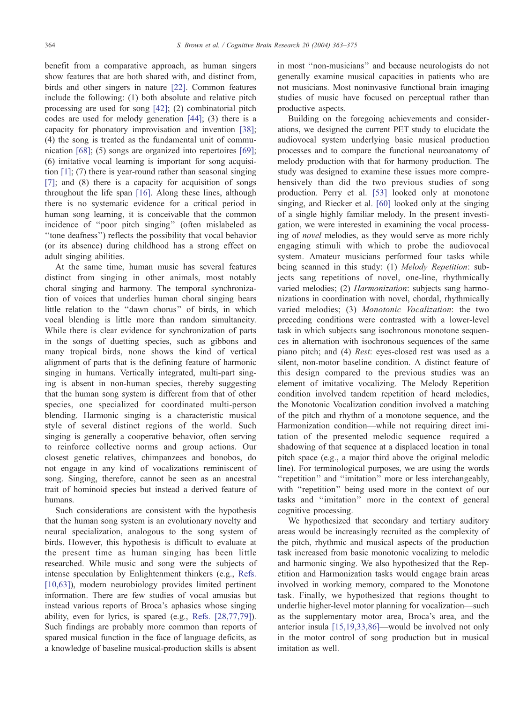benefit from a comparative approach, as human singers show features that are both shared with, and distinct from, birds and other singers in nature [\[22\].](#page-11-0) Common features include the following: (1) both absolute and relative pitch processing are used for song [\[42\];](#page-11-0) (2) combinatorial pitch codes are used for melody generation [\[44\];](#page-11-0) (3) there is a capacity for phonatory improvisation and invention [\[38\];](#page-11-0) (4) the song is treated as the fundamental unit of communication [\[68\];](#page-12-0) (5) songs are organized into repertoires [\[69\];](#page-12-0) (6) imitative vocal learning is important for song acquisition [\[1\];](#page-10-0) (7) there is year-round rather than seasonal singing [\[7\]](#page-10-0); and (8) there is a capacity for acquisition of songs throughout the life span [\[16\].](#page-10-0) Along these lines, although there is no systematic evidence for a critical period in human song learning, it is conceivable that the common incidence of ''poor pitch singing'' (often mislabeled as ''tone deafness'') reflects the possibility that vocal behavior (or its absence) during childhood has a strong effect on adult singing abilities.

At the same time, human music has several features distinct from singing in other animals, most notably choral singing and harmony. The temporal synchronization of voices that underlies human choral singing bears little relation to the ''dawn chorus'' of birds, in which vocal blending is little more than random simultaneity. While there is clear evidence for synchronization of parts in the songs of duetting species, such as gibbons and many tropical birds, none shows the kind of vertical alignment of parts that is the defining feature of harmonic singing in humans. Vertically integrated, multi-part singing is absent in non-human species, thereby suggesting that the human song system is different from that of other species, one specialized for coordinated multi-person blending. Harmonic singing is a characteristic musical style of several distinct regions of the world. Such singing is generally a cooperative behavior, often serving to reinforce collective norms and group actions. Our closest genetic relatives, chimpanzees and bonobos, do not engage in any kind of vocalizations reminiscent of song. Singing, therefore, cannot be seen as an ancestral trait of hominoid species but instead a derived feature of humans.

Such considerations are consistent with the hypothesis that the human song system is an evolutionary novelty and neural specialization, analogous to the song system of birds. However, this hypothesis is difficult to evaluate at the present time as human singing has been little researched. While music and song were the subjects of intense speculation by Enlightenment thinkers (e.g., [Refs.](#page-10-0) [10,63]), modern neurobiology provides limited pertinent information. There are few studies of vocal amusias but instead various reports of Broca's aphasics whose singing ability, even for lyrics, is spared (e.g., [Refs. \[28,77,79\]\)](#page-11-0). Such findings are probably more common than reports of spared musical function in the face of language deficits, as a knowledge of baseline musical-production skills is absent

in most ''non-musicians'' and because neurologists do not generally examine musical capacities in patients who are not musicians. Most noninvasive functional brain imaging studies of music have focused on perceptual rather than productive aspects.

Building on the foregoing achievements and considerations, we designed the current PET study to elucidate the audiovocal system underlying basic musical production processes and to compare the functional neuroanatomy of melody production with that for harmony production. The study was designed to examine these issues more comprehensively than did the two previous studies of song production. Perry et al. [\[53\]](#page-11-0) looked only at monotone singing, and Riecker et al. [\[60\]](#page-11-0) looked only at the singing of a single highly familiar melody. In the present investigation, we were interested in examining the vocal processing of novel melodies, as they would serve as more richly engaging stimuli with which to probe the audiovocal system. Amateur musicians performed four tasks while being scanned in this study: (1) Melody Repetition: subjects sang repetitions of novel, one-line, rhythmically varied melodies; (2) *Harmonization*: subjects sang harmonizations in coordination with novel, chordal, rhythmically varied melodies; (3) Monotonic Vocalization: the two preceding conditions were contrasted with a lower-level task in which subjects sang isochronous monotone sequences in alternation with isochronous sequences of the same piano pitch; and (4) Rest: eyes-closed rest was used as a silent, non-motor baseline condition. A distinct feature of this design compared to the previous studies was an element of imitative vocalizing. The Melody Repetition condition involved tandem repetition of heard melodies, the Monotonic Vocalization condition involved a matching of the pitch and rhythm of a monotone sequence, and the Harmonization condition—while not requiring direct imitation of the presented melodic sequence—required a shadowing of that sequence at a displaced location in tonal pitch space (e.g., a major third above the original melodic line). For terminological purposes, we are using the words "repetition" and "imitation" more or less interchangeably, with "repetition" being used more in the context of our tasks and ''imitation'' more in the context of general cognitive processing.

We hypothesized that secondary and tertiary auditory areas would be increasingly recruited as the complexity of the pitch, rhythmic and musical aspects of the production task increased from basic monotonic vocalizing to melodic and harmonic singing. We also hypothesized that the Repetition and Harmonization tasks would engage brain areas involved in working memory, compared to the Monotone task. Finally, we hypothesized that regions thought to underlie higher-level motor planning for vocalization—such as the supplementary motor area, Broca's area, and the anterior insula [\[15,19,33,86\]—](#page-10-0)would be involved not only in the motor control of song production but in musical imitation as well.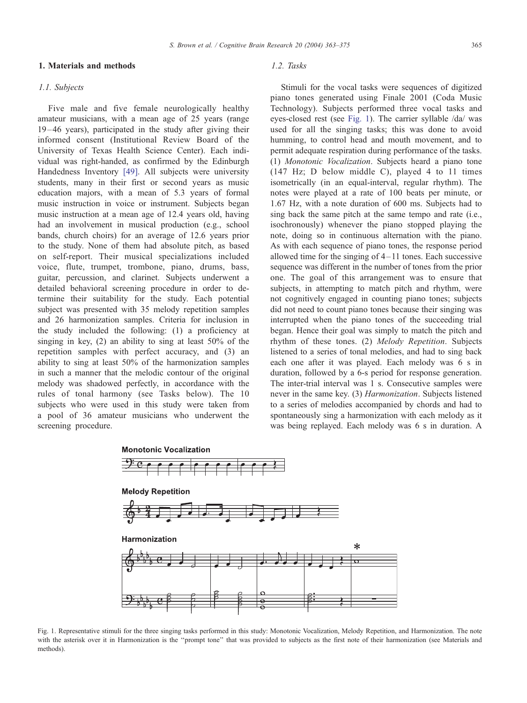#### 1. Materials and methods

### 1.1. Subjects

Five male and five female neurologically healthy amateur musicians, with a mean age of 25 years (range 19 –46 years), participated in the study after giving their informed consent (Institutional Review Board of the University of Texas Health Science Center). Each individual was right-handed, as confirmed by the Edinburgh Handedness Inventory [\[49\].](#page-11-0) All subjects were university students, many in their first or second years as music education majors, with a mean of 5.3 years of formal music instruction in voice or instrument. Subjects began music instruction at a mean age of 12.4 years old, having had an involvement in musical production (e.g., school bands, church choirs) for an average of 12.6 years prior to the study. None of them had absolute pitch, as based on self-report. Their musical specializations included voice, flute, trumpet, trombone, piano, drums, bass, guitar, percussion, and clarinet. Subjects underwent a detailed behavioral screening procedure in order to determine their suitability for the study. Each potential subject was presented with 35 melody repetition samples and 26 harmonization samples. Criteria for inclusion in the study included the following: (1) a proficiency at singing in key, (2) an ability to sing at least 50% of the repetition samples with perfect accuracy, and (3) an ability to sing at least 50% of the harmonization samples in such a manner that the melodic contour of the original melody was shadowed perfectly, in accordance with the rules of tonal harmony (see Tasks below). The 10 subjects who were used in this study were taken from a pool of 36 amateur musicians who underwent the screening procedure.

## 1.2. Tasks

Stimuli for the vocal tasks were sequences of digitized piano tones generated using Finale 2001 (Coda Music Technology). Subjects performed three vocal tasks and eyes-closed rest (see Fig. 1). The carrier syllable /da/ was used for all the singing tasks; this was done to avoid humming, to control head and mouth movement, and to permit adequate respiration during performance of the tasks. (1) Monotonic Vocalization. Subjects heard a piano tone (147 Hz; D below middle C), played 4 to 11 times isometrically (in an equal-interval, regular rhythm). The notes were played at a rate of 100 beats per minute, or 1.67 Hz, with a note duration of 600 ms. Subjects had to sing back the same pitch at the same tempo and rate (i.e., isochronously) whenever the piano stopped playing the note, doing so in continuous alternation with the piano. As with each sequence of piano tones, the response period allowed time for the singing of 4– 11 tones. Each successive sequence was different in the number of tones from the prior one. The goal of this arrangement was to ensure that subjects, in attempting to match pitch and rhythm, were not cognitively engaged in counting piano tones; subjects did not need to count piano tones because their singing was interrupted when the piano tones of the succeeding trial began. Hence their goal was simply to match the pitch and rhythm of these tones. (2) Melody Repetition. Subjects listened to a series of tonal melodies, and had to sing back each one after it was played. Each melody was 6 s in duration, followed by a 6-s period for response generation. The inter-trial interval was 1 s. Consecutive samples were never in the same key. (3) Harmonization. Subjects listened to a series of melodies accompanied by chords and had to spontaneously sing a harmonization with each melody as it was being replayed. Each melody was 6 s in duration. A



Fig. 1. Representative stimuli for the three singing tasks performed in this study: Monotonic Vocalization, Melody Repetition, and Harmonization. The note with the asterisk over it in Harmonization is the "prompt tone" that was provided to subjects as the first note of their harmonization (see Materials and methods).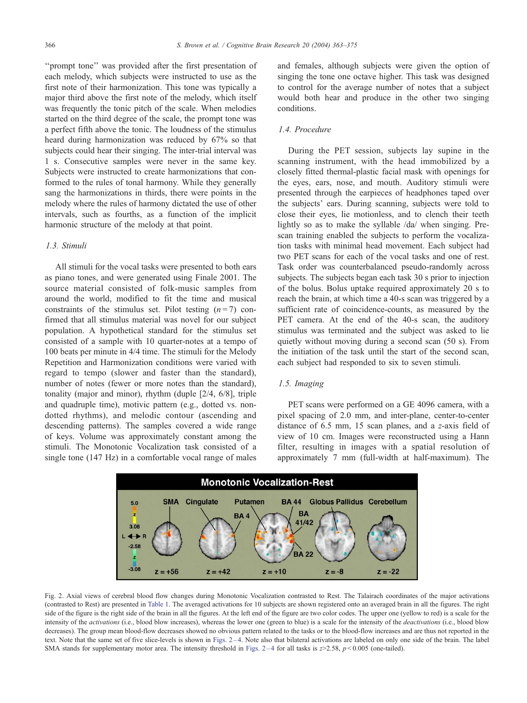<span id="page-3-0"></span>''prompt tone'' was provided after the first presentation of each melody, which subjects were instructed to use as the first note of their harmonization. This tone was typically a major third above the first note of the melody, which itself was frequently the tonic pitch of the scale. When melodies started on the third degree of the scale, the prompt tone was a perfect fifth above the tonic. The loudness of the stimulus heard during harmonization was reduced by 67% so that subjects could hear their singing. The inter-trial interval was 1 s. Consecutive samples were never in the same key. Subjects were instructed to create harmonizations that conformed to the rules of tonal harmony. While they generally sang the harmonizations in thirds, there were points in the melody where the rules of harmony dictated the use of other intervals, such as fourths, as a function of the implicit harmonic structure of the melody at that point.

## 1.3. Stimuli

All stimuli for the vocal tasks were presented to both ears as piano tones, and were generated using Finale 2001. The source material consisted of folk-music samples from around the world, modified to fit the time and musical constraints of the stimulus set. Pilot testing  $(n=7)$  confirmed that all stimulus material was novel for our subject population. A hypothetical standard for the stimulus set consisted of a sample with 10 quarter-notes at a tempo of 100 beats per minute in 4/4 time. The stimuli for the Melody Repetition and Harmonization conditions were varied with regard to tempo (slower and faster than the standard), number of notes (fewer or more notes than the standard), tonality (major and minor), rhythm (duple [2/4, 6/8], triple and quadruple time), motivic pattern (e.g., dotted vs. nondotted rhythms), and melodic contour (ascending and descending patterns). The samples covered a wide range of keys. Volume was approximately constant among the stimuli. The Monotonic Vocalization task consisted of a single tone (147 Hz) in a comfortable vocal range of males and females, although subjects were given the option of singing the tone one octave higher. This task was designed to control for the average number of notes that a subject would both hear and produce in the other two singing conditions.

# 1.4. Procedure

During the PET session, subjects lay supine in the scanning instrument, with the head immobilized by a closely fitted thermal-plastic facial mask with openings for the eyes, ears, nose, and mouth. Auditory stimuli were presented through the earpieces of headphones taped over the subjects' ears. During scanning, subjects were told to close their eyes, lie motionless, and to clench their teeth lightly so as to make the syllable /da/ when singing. Prescan training enabled the subjects to perform the vocalization tasks with minimal head movement. Each subject had two PET scans for each of the vocal tasks and one of rest. Task order was counterbalanced pseudo-randomly across subjects. The subjects began each task 30 s prior to injection of the bolus. Bolus uptake required approximately 20 s to reach the brain, at which time a 40-s scan was triggered by a sufficient rate of coincidence-counts, as measured by the PET camera. At the end of the 40-s scan, the auditory stimulus was terminated and the subject was asked to lie quietly without moving during a second scan (50 s). From the initiation of the task until the start of the second scan, each subject had responded to six to seven stimuli.

# 1.5. Imaging

PET scans were performed on a GE 4096 camera, with a pixel spacing of 2.0 mm, and inter-plane, center-to-center distance of 6.5 mm, 15 scan planes, and a z-axis field of view of 10 cm. Images were reconstructed using a Hann filter, resulting in images with a spatial resolution of approximately 7 mm (full-width at half-maximum). The



Fig. 2. Axial views of cerebral blood flow changes during Monotonic Vocalization contrasted to Rest. The Talairach coordinates of the major activations (contrasted to Rest) are presented in [Table 1.](#page-4-0) The averaged activations for 10 subjects are shown registered onto an averaged brain in all the figures. The right side of the figure is the right side of the brain in all the figures. At the left end of the figure are two color codes. The upper one (yellow to red) is a scale for the intensity of the activations (i.e., blood blow increases), whereas the lower one (green to blue) is a scale for the intensity of the deactivations (i.e., blood blow decreases). The group mean blood-flow decreases showed no obvious pattern related to the tasks or to the blood-flow increases and are thus not reported in the text. Note that the same set of five slice-levels is shown in Figs. 2 – 4. Note also that bilateral activations are labeled on only one side of the brain. The label SMA stands for supplementary motor area. The intensity threshold in Figs.  $2-4$  for all tasks is  $z>2.58$ ,  $p < 0.005$  (one-tailed).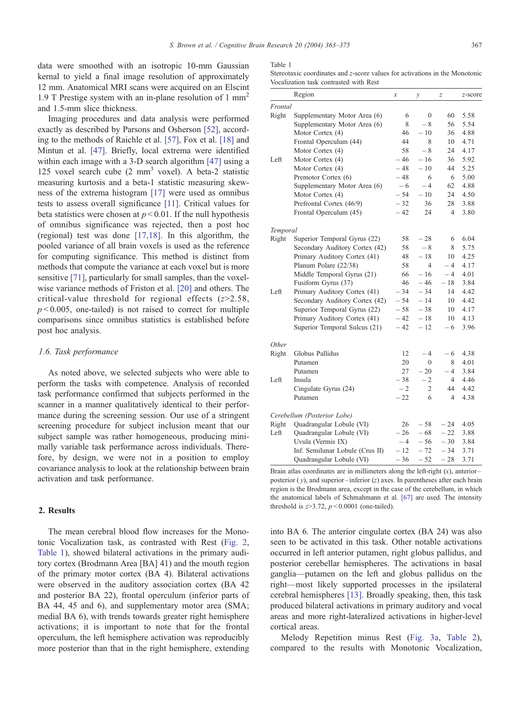<span id="page-4-0"></span>data were smoothed with an isotropic 10-mm Gaussian kernal to yield a final image resolution of approximately 12 mm. Anatomical MRI scans were acquired on an Elscint 1.9 T Prestige system with an in-plane resolution of 1  $mm<sup>2</sup>$ and 1.5-mm slice thickness.

Imaging procedures and data analysis were performed exactly as described by Parsons and Osherson [\[52\],](#page-11-0) according to the methods of Raichle et al. [\[57\],](#page-11-0) Fox et al. [\[18\]](#page-11-0) and Mintun et al. [\[47\].](#page-11-0) Briefly, local extrema were identified within each image with a 3-D search algorithm [\[47\]](#page-11-0) using a 125 voxel search cube (2 mm<sup>3</sup> voxel). A beta-2 statistic measuring kurtosis and a beta-1 statistic measuring skewness of the extrema histogram [\[17\]](#page-11-0) were used as omnibus tests to assess overall significance [\[11\].](#page-10-0) Critical values for beta statistics were chosen at  $p < 0.01$ . If the null hypothesis of omnibus significance was rejected, then a post hoc (regional) test was done [\[17,18\].](#page-11-0) In this algorithm, the pooled variance of all brain voxels is used as the reference for computing significance. This method is distinct from methods that compute the variance at each voxel but is more sensitive [\[71\],](#page-12-0) particularly for small samples, than the voxelwise variance methods of Friston et al. [\[20\]](#page-11-0) and others. The critical-value threshold for regional effects  $(z>2.58$ ,  $p < 0.005$ , one-tailed) is not raised to correct for multiple comparisons since omnibus statistics is established before post hoc analysis.

### 1.6. Task performance

As noted above, we selected subjects who were able to perform the tasks with competence. Analysis of recorded task performance confirmed that subjects performed in the scanner in a manner qualitatively identical to their performance during the screening session. Our use of a stringent screening procedure for subject inclusion meant that our subject sample was rather homogeneous, producing minimally variable task performance across individuals. Therefore, by design, we were not in a position to employ covariance analysis to look at the relationship between brain activation and task performance.

# 2. Results

The mean cerebral blood flow increases for the Monotonic Vocalization task, as contrasted with Rest ([Fig. 2,](#page-3-0) Table 1), showed bilateral activations in the primary auditory cortex (Brodmann Area [BA] 41) and the mouth region of the primary motor cortex (BA 4). Bilateral activations were observed in the auditory association cortex (BA 42 and posterior BA 22), frontal operculum (inferior parts of BA 44, 45 and 6), and supplementary motor area (SMA; medial BA 6), with trends towards greater right hemisphere activations; it is important to note that for the frontal operculum, the left hemisphere activation was reproducibly more posterior than that in the right hemisphere, extending

#### Table 1

Stereotaxic coordinates and z-score values for activations in the Monotonic Vocalization task contrasted with Rest

|              | Region                          | х     | $\mathcal{Y}$ | $\boldsymbol{Z}$ | z-score |
|--------------|---------------------------------|-------|---------------|------------------|---------|
| Frontal      |                                 |       |               |                  |         |
| Right        | Supplementary Motor Area (6)    | 6     | $\mathbf{0}$  | 60               | 5.58    |
|              | Supplementary Motor Area (6)    | 8     | $-8$          | 56               | 5.54    |
|              | Motor Cortex (4)                | 46    | $-10$         | 36               | 4.88    |
|              | Frontal Operculum (44)          | 44    | 8             | 10               | 4.71    |
|              | Motor Cortex (4)                | 58    | $-8$          | 24               | 4.17    |
| Left         | Motor Cortex (4)                | $-46$ | $-16$         | 36               | 5.92    |
|              | Motor Cortex (4)                | $-48$ | $-10$         | 44               | 5.25    |
|              | Premotor Cortex (6)             | $-48$ | 6             | 6                | 5.00    |
|              | Supplementary Motor Area (6)    | $-6$  | $-4$          | 62               | 4.88    |
|              | Motor Cortex (4)                | $-54$ | $-10$         | 24               | 4.50    |
|              | Prefrontal Cortex (46/9)        | $-32$ | 36            | 28               | 3.88    |
|              | Frontal Operculum (45)          | $-42$ | 24            | $\overline{4}$   | 3.80    |
| Temporal     |                                 |       |               |                  |         |
| Right        | Superior Temporal Gyrus (22)    | 58    | $-28$         | 6                | 6.04    |
|              | Secondary Auditory Cortex (42)  | 58    | $-8$          | 8                | 5.75    |
|              | Primary Auditory Cortex (41)    | 48    | $-18$         | 10               | 4.25    |
|              | Planum Polare (22/38)           | 58    | 4             | $-4$             | 4.17    |
|              | Middle Temporal Gyrus (21)      | 66    | $-16$         | $-4$             | 4.01    |
|              | Fusiform Gyrus (37)             | 46    | $-46$         | $-18$            | 3.84    |
| Left         | Primary Auditory Cortex (41)    | $-34$ | $-34$         | 14               | 4.42    |
|              | Secondary Auditory Cortex (42)  | $-54$ | $-14$         | 10               | 4.42    |
|              | Superior Temporal Gyrus (22)    | $-58$ | $-38$         | 10               | 4.17    |
|              | Primary Auditory Cortex (41)    | $-42$ | $-18$         | 10               | 4.13    |
|              | Superior Temporal Sulcus (21)   | $-42$ | $-12$         | - 6              | 3.96    |
| <i>Other</i> |                                 |       |               |                  |         |
| Right        | Globus Pallidus                 | 12    | $-4$          | - 6              | 4.38    |
|              | Putamen                         | 20    | $\mathbf{0}$  | 8                | 4.01    |
|              | Putamen                         | 27    | $-20$         | $-4$             | 3.84    |
| Left         | Insula                          | $-38$ | $-2$          | 4                | 4.46    |
|              | Cingulate Gyrus (24)            | $-2$  | 2             | 44               | 4.42    |
|              | Putamen                         | $-22$ | 6             | $\overline{4}$   | 4.38    |
|              | Cerebellum (Posterior Lobe)     |       |               |                  |         |
| Right        | Quadrangular Lobule (VI)        | 26    | $-58$         | $-24$            | 4.05    |
| Left         | Quadrangular Lobule (VI)        | $-26$ | $-68$         | $-22$            | 3.88    |
|              | Uvula (Vermis IX)               | $-4$  | $-56$         | $-30$            | 3.84    |
|              | Inf. Semilunar Lobule (Crus II) | $-12$ | $-72$         | $-34$            | 3.71    |
|              | Quadrangular Lobule (VI)        | - 36  | $-52$         | $-28$            | 3.71    |

Brain atlas coordinates are in millimeters along the left-right  $(x)$ , anteriorposterior  $(y)$ , and superior-inferior  $(z)$  axes. In parentheses after each brain region is the Brodmann area, except in the case of the cerebellum, in which [the anatomical labels of Schmahmann et al.](#page-12-0) [67] are used. The intensity threshold is  $z > 3.72$ ,  $p < 0.0001$  (one-tailed).

into BA 6. The anterior cingulate cortex (BA 24) was also seen to be activated in this task. Other notable activations occurred in left anterior putamen, right globus pallidus, and posterior cerebellar hemispheres. The activations in basal ganglia—putamen on the left and globus pallidus on the right—most likely supported processes in the ipsilateral cerebral hemispheres [\[13\].](#page-10-0) Broadly speaking, then, this task produced bilateral activations in primary auditory and vocal areas and more right-lateralized activations in higher-level cortical areas.

Melody Repetition minus Rest ([Fig. 3a,](#page-5-0) [Table 2\)](#page-6-0), compared to the results with Monotonic Vocalization,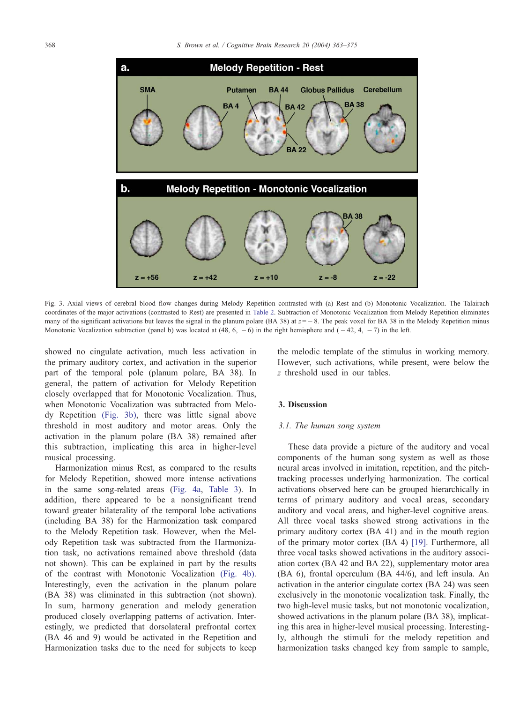<span id="page-5-0"></span>

Fig. 3. Axial views of cerebral blood flow changes during Melody Repetition contrasted with (a) Rest and (b) Monotonic Vocalization. The Talairach coordinates of the major activations (contrasted to Rest) are presented in [Table 2.](#page-6-0) Subtraction of Monotonic Vocalization from Melody Repetition eliminates many of the significant activations but leaves the signal in the planum polare (BA 38) at  $z = -8$ . The peak voxel for BA 38 in the Melody Repetition minus Monotonic Vocalization subtraction (panel b) was located at  $(48, 6, -6)$  in the right hemisphere and  $(-42, 4, -7)$  in the left.

showed no cingulate activation, much less activation in the primary auditory cortex, and activation in the superior part of the temporal pole (planum polare, BA 38). In general, the pattern of activation for Melody Repetition closely overlapped that for Monotonic Vocalization. Thus, when Monotonic Vocalization was subtracted from Melody Repetition (Fig. 3b), there was little signal above threshold in most auditory and motor areas. Only the activation in the planum polare (BA 38) remained after this subtraction, implicating this area in higher-level musical processing.

Harmonization minus Rest, as compared to the results for Melody Repetition, showed more intense activations in the same song-related areas ([Fig. 4a,](#page-7-0) [Table 3\)](#page-8-0). In addition, there appeared to be a nonsignificant trend toward greater bilaterality of the temporal lobe activations (including BA 38) for the Harmonization task compared to the Melody Repetition task. However, when the Melody Repetition task was subtracted from the Harmonization task, no activations remained above threshold (data not shown). This can be explained in part by the results of the contrast with Monotonic Vocalization [\(Fig. 4b\).](#page-7-0) Interestingly, even the activation in the planum polare (BA 38) was eliminated in this subtraction (not shown). In sum, harmony generation and melody generation produced closely overlapping patterns of activation. Interestingly, we predicted that dorsolateral prefrontal cortex (BA 46 and 9) would be activated in the Repetition and Harmonization tasks due to the need for subjects to keep the melodic template of the stimulus in working memory. However, such activations, while present, were below the z threshold used in our tables.

#### 3. Discussion

#### 3.1. The human song system

These data provide a picture of the auditory and vocal components of the human song system as well as those neural areas involved in imitation, repetition, and the pitchtracking processes underlying harmonization. The cortical activations observed here can be grouped hierarchically in terms of primary auditory and vocal areas, secondary auditory and vocal areas, and higher-level cognitive areas. All three vocal tasks showed strong activations in the primary auditory cortex (BA 41) and in the mouth region of the primary motor cortex (BA 4) [\[19\].](#page-11-0) Furthermore, all three vocal tasks showed activations in the auditory association cortex (BA 42 and BA 22), supplementary motor area (BA 6), frontal operculum (BA 44/6), and left insula. An activation in the anterior cingulate cortex (BA 24) was seen exclusively in the monotonic vocalization task. Finally, the two high-level music tasks, but not monotonic vocalization, showed activations in the planum polare (BA 38), implicating this area in higher-level musical processing. Interestingly, although the stimuli for the melody repetition and harmonization tasks changed key from sample to sample,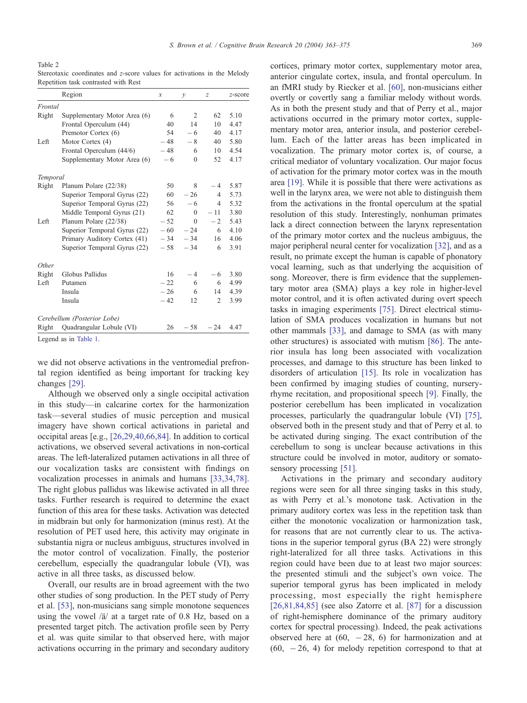<span id="page-6-0"></span>Table 2

Stereotaxic coordinates and z-score values for activations in the Melody Repetition task contrasted with Rest

|          | Region                       | $\boldsymbol{x}$ | $\mathcal{Y}$  | z              | z-score |
|----------|------------------------------|------------------|----------------|----------------|---------|
| Frontal  |                              |                  |                |                |         |
| Right    | Supplementary Motor Area (6) | 6                | $\overline{2}$ | 62             | 5.10    |
|          | Frontal Operculum (44)       | 40               | 14             | 10             | 4.47    |
|          | Premotor Cortex (6)          | 54               | $-6$           | 40             | 4.17    |
| Left     | Motor Cortex (4)             | $-48$            | $-8$           | 40             | 5.80    |
|          | Frontal Operculum (44/6)     | $-48$            | 6              | 10             | 4.54    |
|          | Supplementary Motor Area (6) | $-6$             | $\theta$       | 52             | 4.17    |
| Temporal |                              |                  |                |                |         |
| Right    | Planum Polare (22/38)        | 50               | 8              | $-4$           | 5.87    |
|          | Superior Temporal Gyrus (22) | 60               | $-26$          | $\overline{4}$ | 5.73    |
|          | Superior Temporal Gyrus (22) | 56               | $-6$           | $\overline{4}$ | 5.32    |
|          | Middle Temporal Gyrus (21)   | 62               | $\theta$       | $-11$          | 3.80    |
| Left     | Planum Polare (22/38)        | $-52$            | $\Omega$       | $-2$           | 5.43    |
|          | Superior Temporal Gyrus (22) | $-60^{-}$        | $-24$          | 6              | 4.10    |
|          | Primary Auditory Cortex (41) | $-34$            | $-34$          | 16             | 4.06    |
|          | Superior Temporal Gyrus (22) | $-58$            | $-34$          | 6              | 3.91    |
| Other    |                              |                  |                |                |         |
| Right    | Globus Pallidus              | 16               | $-4$           | - 6            | 3.80    |
| Left     | Putamen                      | $-22$            | 6              | 6              | 4.99    |
|          | Insula                       | $-26$            | 6              | 14             | 4.39    |
|          | Insula                       | $-42$            | 12             | 2              | 3.99    |
|          | Cerebellum (Posterior Lobe)  |                  |                |                |         |
| Right    | Quadrangular Lobule (VI)     | 26               | $-58$          | $-24$          | 4.47    |
|          | <b>T</b> 1 1 m 1 1 1         |                  |                |                |         |

[Legend as in](#page-4-0) Table 1.

we did not observe activations in the ventromedial prefrontal region identified as being important for tracking key changes [\[29\].](#page-11-0)

Although we observed only a single occipital activation in this study—in calcarine cortex for the harmonization task—several studies of music perception and musical imagery have shown cortical activations in parietal and occipital areas [e.g., [\[26,29,40,66,84\].](#page-11-0) In addition to cortical activations, we observed several activations in non-cortical areas. The left-lateralized putamen activations in all three of our vocalization tasks are consistent with findings on vocalization processes in animals and humans [\[33,34,78\].](#page-11-0) The right globus pallidus was likewise activated in all three tasks. Further research is required to determine the exact function of this area for these tasks. Activation was detected in midbrain but only for harmonization (minus rest). At the resolution of PET used here, this activity may originate in substantia nigra or nucleus ambiguus, structures involved in the motor control of vocalization. Finally, the posterior cerebellum, especially the quadrangular lobule (VI), was active in all three tasks, as discussed below.

Overall, our results are in broad agreement with the two other studies of song production. In the PET study of Perry et al. [\[53\],](#page-11-0) non-musicians sang simple monotone sequences using the vowel  $\frac{a}{a}$  at a target rate of 0.8 Hz, based on a presented target pitch. The activation profile seen by Perry et al. was quite similar to that observed here, with major activations occurring in the primary and secondary auditory

cortices, primary motor cortex, supplementary motor area, anterior cingulate cortex, insula, and frontal operculum. In an fMRI study by Riecker et al. [\[60\],](#page-11-0) non-musicians either overtly or covertly sang a familiar melody without words. As in both the present study and that of Perry et al., major activations occurred in the primary motor cortex, supplementary motor area, anterior insula, and posterior cerebellum. Each of the latter areas has been implicated in vocalization. The primary motor cortex is, of course, a critical mediator of voluntary vocalization. Our major focus of activation for the primary motor cortex was in the mouth area [\[19\].](#page-11-0) While it is possible that there were activations as well in the larynx area, we were not able to distinguish them from the activations in the frontal operculum at the spatial resolution of this study. Interestingly, nonhuman primates lack a direct connection between the larynx representation of the primary motor cortex and the nucleus ambiguus, the major peripheral neural center for vocalization [\[32\],](#page-11-0) and as a result, no primate except the human is capable of phonatory vocal learning, such as that underlying the acquisition of song. Moreover, there is firm evidence that the supplementary motor area (SMA) plays a key role in higher-level motor control, and it is often activated during overt speech tasks in imaging experiments [\[75\].](#page-12-0) Direct electrical stimulation of SMA produces vocalization in humans but not other mammals [\[33\],](#page-11-0) and damage to SMA (as with many other structures) is associated with mutism [\[86\].](#page-12-0) The anterior insula has long been associated with vocalization processes, and damage to this structure has been linked to disorders of articulation [\[15\].](#page-10-0) Its role in vocalization has been confirmed by imaging studies of counting, nurseryrhyme recitation, and propositional speech [\[9\].](#page-10-0) Finally, the posterior cerebellum has been implicated in vocalization processes, particularly the quadrangular lobule (VI) [\[75\],](#page-12-0) observed both in the present study and that of Perry et al. to be activated during singing. The exact contribution of the cerebellum to song is unclear because activations in this structure could be involved in motor, auditory or somatosensory processing [\[51\].](#page-11-0)

Activations in the primary and secondary auditory regions were seen for all three singing tasks in this study, as with Perry et al.'s monotone task. Activation in the primary auditory cortex was less in the repetition task than either the monotonic vocalization or harmonization task, for reasons that are not currently clear to us. The activations in the superior temporal gyrus (BA 22) were strongly right-lateralized for all three tasks. Activations in this region could have been due to at least two major sources: the presented stimuli and the subject's own voice. The superior temporal gyrus has been implicated in melody processing, most especially the right hemisphere  $[26,81,84,85]$  (see also Zatorre et al.  $[87]$  for a discussion of right-hemisphere dominance of the primary auditory cortex for spectral processing). Indeed, the peak activations observed here at  $(60, -28, 6)$  for harmonization and at  $(60, -26, 4)$  for melody repetition correspond to that at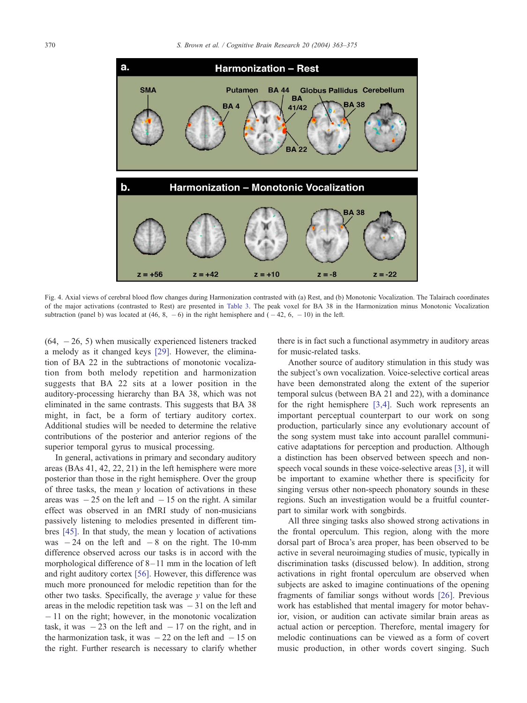<span id="page-7-0"></span>

Fig. 4. Axial views of cerebral blood flow changes during Harmonization contrasted with (a) Rest, and (b) Monotonic Vocalization. The Talairach coordinates of the major activations (contrasted to Rest) are presented in [Table 3.](#page-8-0) The peak voxel for BA 38 in the Harmonization minus Monotonic Vocalization subtraction (panel b) was located at  $(46, 8, -6)$  in the right hemisphere and  $(-42, 6, -10)$  in the left.

 $(64, -26, 5)$  when musically experienced listeners tracked a melody as it changed keys [\[29\].](#page-11-0) However, the elimination of BA 22 in the subtractions of monotonic vocalization from both melody repetition and harmonization suggests that BA 22 sits at a lower position in the auditory-processing hierarchy than BA 38, which was not eliminated in the same contrasts. This suggests that BA 38 might, in fact, be a form of tertiary auditory cortex. Additional studies will be needed to determine the relative contributions of the posterior and anterior regions of the superior temporal gyrus to musical processing.

In general, activations in primary and secondary auditory areas (BAs 41, 42, 22, 21) in the left hemisphere were more posterior than those in the right hemisphere. Over the group of three tasks, the mean  $y$  location of activations in these areas was  $-25$  on the left and  $-15$  on the right. A similar effect was observed in an fMRI study of non-musicians passively listening to melodies presented in different timbres [\[45\]](#page-11-0). In that study, the mean y location of activations was  $-24$  on the left and  $-8$  on the right. The 10-mm difference observed across our tasks is in accord with the morphological difference of 8– 11 mm in the location of left and right auditory cortex [\[56\].](#page-11-0) However, this difference was much more pronounced for melodic repetition than for the other two tasks. Specifically, the average  $\nu$  value for these areas in the melodic repetition task was  $-31$  on the left and  $-11$  on the right; however, in the monotonic vocalization task, it was  $-23$  on the left and  $-17$  on the right, and in the harmonization task, it was  $-22$  on the left and  $-15$  on the right. Further research is necessary to clarify whether

there is in fact such a functional asymmetry in auditory areas for music-related tasks.

Another source of auditory stimulation in this study was the subject's own vocalization. Voice-selective cortical areas have been demonstrated along the extent of the superior temporal sulcus (between BA 21 and 22), with a dominance for the right hemisphere [\[3,4\].](#page-10-0) Such work represents an important perceptual counterpart to our work on song production, particularly since any evolutionary account of the song system must take into account parallel communicative adaptations for perception and production. Although a distinction has been observed between speech and nonspeech vocal sounds in these voice-selective areas [\[3\],](#page-10-0) it will be important to examine whether there is specificity for singing versus other non-speech phonatory sounds in these regions. Such an investigation would be a fruitful counterpart to similar work with songbirds.

All three singing tasks also showed strong activations in the frontal operculum. This region, along with the more dorsal part of Broca's area proper, has been observed to be active in several neuroimaging studies of music, typically in discrimination tasks (discussed below). In addition, strong activations in right frontal operculum are observed when subjects are asked to imagine continuations of the opening fragments of familiar songs without words [\[26\].](#page-11-0) Previous work has established that mental imagery for motor behavior, vision, or audition can activate similar brain areas as actual action or perception. Therefore, mental imagery for melodic continuations can be viewed as a form of covert music production, in other words covert singing. Such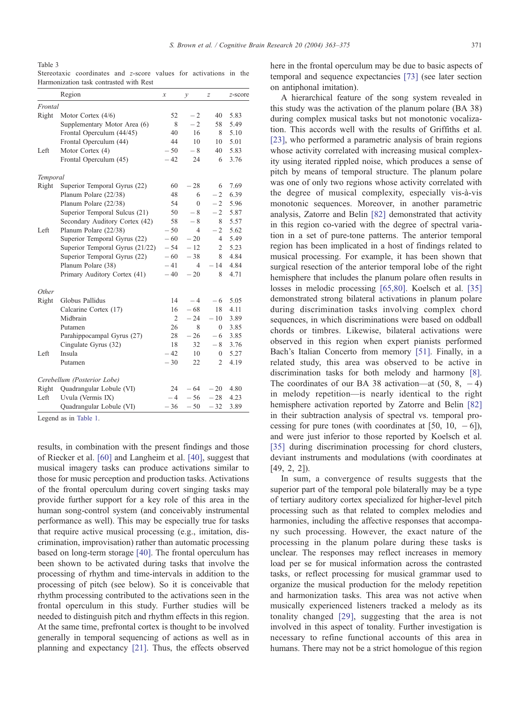<span id="page-8-0"></span>Table 3

Stereotaxic coordinates and z-score values for activations in the Harmonization task contrasted with Rest

|          | Region                          | $\mathcal{X}$  | у              | Z              | $z$ -score |
|----------|---------------------------------|----------------|----------------|----------------|------------|
| Frontal  |                                 |                |                |                |            |
| Right    | Motor Cortex $(4/6)$            | 52             | $-2$           | 40             | 5.83       |
|          | Supplementary Motor Area (6)    | 8              | $-2$           | 58             | 5.49       |
|          | Frontal Operculum (44/45)       | 40             | 16             | 8              | 5.10       |
|          | Frontal Operculum (44)          | 44             | 10             | 10             | 5.01       |
| Left     | Motor Cortex (4)                | $-50$          | $-8$           | 40             | 5.83       |
|          | Frontal Operculum (45)          | $-42$          | 24             | 6              | 3.76       |
| Temporal |                                 |                |                |                |            |
| Right    | Superior Temporal Gyrus (22)    | 60             | $-28$          | 6              | 7.69       |
|          | Planum Polare (22/38)           | 48             | 6              | $-2$           | 6.39       |
|          | Planum Polare (22/38)           | 54             | 0              | $-2$           | 5.96       |
|          | Superior Temporal Sulcus (21)   | 50             | - 8            | $-2$           | 5.87       |
|          | Secondary Auditory Cortex (42)  | 58             | $-8$           | 8              | 5.57       |
| Left     | Planum Polare (22/38)           | $-50$          | 4              | $-2$           | 5.62       |
|          | Superior Temporal Gyrus (22)    | $-60$          | $-20$          | 4              | 5.49       |
|          | Superior Temporal Gyrus (21/22) | $-54$          | $-12$          | 2              | 5.23       |
|          | Superior Temporal Gyrus (22)    | $-60$          | $-38$          | 8              | 4.84       |
|          | Planum Polare (38)              | $-41$          | $\overline{4}$ | $-14$          | 4.84       |
|          | Primary Auditory Cortex (41)    | $-40$          | $-20$          | 8              | 4.71       |
| Other    |                                 |                |                |                |            |
| Right    | Globus Pallidus                 | 14             | $-4$           | $-6$           | 5.05       |
|          | Calcarine Cortex (17)           | 16             | $-68$          | 18             | 4.11       |
|          | Midbrain                        | $\overline{2}$ | $-24$          | $-10$          | 3.89       |
|          | Putamen                         | 26             | 8              | $\Omega$       | 3.85       |
|          | Parahippocampal Gyrus (27)      | 28             | $-26$          | -6             | 3.85       |
|          | Cingulate Gyrus (32)            | 18             | 32             | $-8$           | 3.76       |
| Left     | Insula                          | $-42$          | 10             | $\overline{0}$ | 5.27       |
|          | Putamen                         | $-30$          | 22             | 2              | 4.19       |
|          | Cerebellum (Posterior Lobe)     |                |                |                |            |
| Right    | Quadrangular Lobule (VI)        | 24             | $-64$          | $-20$          | 4.80       |
| Left     | Uvula (Vermis IX)               | $-4$           | $-56$          | $-28$          | 4.23       |
|          | Quadrangular Lobule (VI)        | $-36$          | $-50$          | $-32$          | 3.89       |

[Legend as in](#page-4-0) Table 1.

results, in combination with the present findings and those of Riecker et al. [\[60\]](#page-11-0) and Langheim et al. [\[40\],](#page-11-0) suggest that musical imagery tasks can produce activations similar to those for music perception and production tasks. Activations of the frontal operculum during covert singing tasks may provide further support for a key role of this area in the human song-control system (and conceivably instrumental performance as well). This may be especially true for tasks that require active musical processing (e.g., imitation, discrimination, improvisation) rather than automatic processing based on long-term storage [\[40\].](#page-11-0) The frontal operculum has been shown to be activated during tasks that involve the processing of rhythm and time-intervals in addition to the processing of pitch (see below). So it is conceivable that rhythm processing contributed to the activations seen in the frontal operculum in this study. Further studies will be needed to distinguish pitch and rhythm effects in this region. At the same time, prefrontal cortex is thought to be involved generally in temporal sequencing of actions as well as in planning and expectancy [\[21\].](#page-11-0) Thus, the effects observed

here in the frontal operculum may be due to basic aspects of temporal and sequence expectancies [\[73\]](#page-12-0) (see later section on antiphonal imitation).

A hierarchical feature of the song system revealed in this study was the activation of the planum polare (BA 38) during complex musical tasks but not monotonic vocalization. This accords well with the results of Griffiths et al. [\[23\],](#page-11-0) who performed a parametric analysis of brain regions whose activity correlated with increasing musical complexity using iterated rippled noise, which produces a sense of pitch by means of temporal structure. The planum polare was one of only two regions whose activity correlated with the degree of musical complexity, especially vis-à-vis monotonic sequences. Moreover, in another parametric analysis, Zatorre and Belin [\[82\]](#page-12-0) demonstrated that activity in this region co-varied with the degree of spectral variation in a set of pure-tone patterns. The anterior temporal region has been implicated in a host of findings related to musical processing. For example, it has been shown that surgical resection of the anterior temporal lobe of the right hemisphere that includes the planum polare often results in losses in melodic processing [\[65,80\].](#page-12-0) Koelsch et al. [\[35\]](#page-11-0) demonstrated strong bilateral activations in planum polare during discrimination tasks involving complex chord sequences, in which discriminations were based on oddball chords or timbres. Likewise, bilateral activations were observed in this region when expert pianists performed Bach's Italian Concerto from memory [\[51\].](#page-11-0) Finally, in a related study, this area was observed to be active in discrimination tasks for both melody and harmony [\[8\].](#page-10-0) The coordinates of our BA 38 activation—at  $(50, 8, -4)$ in melody repetition—is nearly identical to the right hemisphere activation reported by Zatorre and Belin [\[82\]](#page-12-0) in their subtraction analysis of spectral vs. temporal processing for pure tones (with coordinates at [50, 10,  $-6$ ]), and were just inferior to those reported by Koelsch et al. [\[35\]](#page-11-0) during discrimination processing for chord clusters, deviant instruments and modulations (with coordinates at [49, 2, 2]).

In sum, a convergence of results suggests that the superior part of the temporal pole bilaterally may be a type of tertiary auditory cortex specialized for higher-level pitch processing such as that related to complex melodies and harmonies, including the affective responses that accompany such processing. However, the exact nature of the processing in the planum polare during these tasks is unclear. The responses may reflect increases in memory load per se for musical information across the contrasted tasks, or reflect processing for musical grammar used to organize the musical production for the melody repetition and harmonization tasks. This area was not active when musically experienced listeners tracked a melody as its tonality changed [\[29\],](#page-11-0) suggesting that the area is not involved in this aspect of tonality. Further investigation is necessary to refine functional accounts of this area in humans. There may not be a strict homologue of this region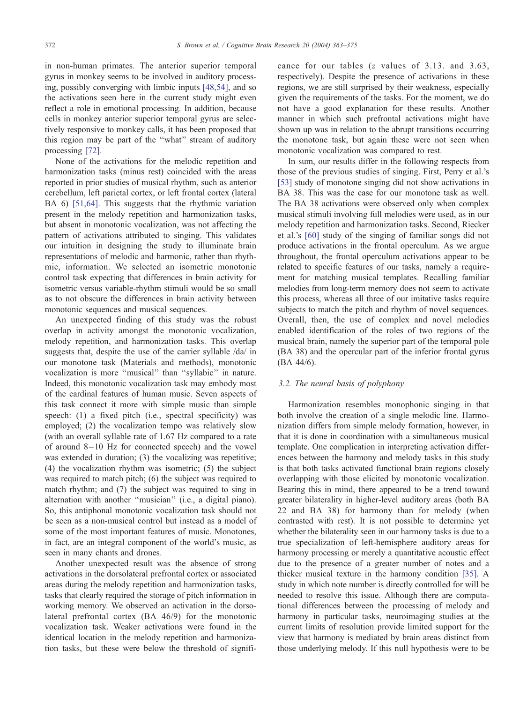in non-human primates. The anterior superior temporal gyrus in monkey seems to be involved in auditory processing, possibly converging with limbic inputs [\[48,54\],](#page-11-0) and so the activations seen here in the current study might even reflect a role in emotional processing. In addition, because cells in monkey anterior superior temporal gyrus are selectively responsive to monkey calls, it has been proposed that this region may be part of the ''what'' stream of auditory processing [\[72\].](#page-12-0)

None of the activations for the melodic repetition and harmonization tasks (minus rest) coincided with the areas reported in prior studies of musical rhythm, such as anterior cerebellum, left parietal cortex, or left frontal cortex (lateral BA 6) [\[51,64\].](#page-11-0) This suggests that the rhythmic variation present in the melody repetition and harmonization tasks, but absent in monotonic vocalization, was not affecting the pattern of activations attributed to singing. This validates our intuition in designing the study to illuminate brain representations of melodic and harmonic, rather than rhythmic, information. We selected an isometric monotonic control task expecting that differences in brain activity for isometric versus variable-rhythm stimuli would be so small as to not obscure the differences in brain activity between monotonic sequences and musical sequences.

An unexpected finding of this study was the robust overlap in activity amongst the monotonic vocalization, melody repetition, and harmonization tasks. This overlap suggests that, despite the use of the carrier syllable /da/ in our monotone task (Materials and methods), monotonic vocalization is more ''musical'' than ''syllabic'' in nature. Indeed, this monotonic vocalization task may embody most of the cardinal features of human music. Seven aspects of this task connect it more with simple music than simple speech: (1) a fixed pitch (i.e., spectral specificity) was employed; (2) the vocalization tempo was relatively slow (with an overall syllable rate of 1.67 Hz compared to a rate of around  $8-10$  Hz for connected speech) and the vowel was extended in duration; (3) the vocalizing was repetitive; (4) the vocalization rhythm was isometric; (5) the subject was required to match pitch; (6) the subject was required to match rhythm; and (7) the subject was required to sing in alternation with another ''musician'' (i.e., a digital piano). So, this antiphonal monotonic vocalization task should not be seen as a non-musical control but instead as a model of some of the most important features of music. Monotones, in fact, are an integral component of the world's music, as seen in many chants and drones.

Another unexpected result was the absence of strong activations in the dorsolateral prefrontal cortex or associated areas during the melody repetition and harmonization tasks, tasks that clearly required the storage of pitch information in working memory. We observed an activation in the dorsolateral prefrontal cortex (BA 46/9) for the monotonic vocalization task. Weaker activations were found in the identical location in the melody repetition and harmonization tasks, but these were below the threshold of significance for our tables (z values of 3.13. and 3.63, respectively). Despite the presence of activations in these regions, we are still surprised by their weakness, especially given the requirements of the tasks. For the moment, we do not have a good explanation for these results. Another manner in which such prefrontal activations might have shown up was in relation to the abrupt transitions occurring the monotone task, but again these were not seen when monotonic vocalization was compared to rest.

In sum, our results differ in the following respects from those of the previous studies of singing. First, Perry et al.'s [\[53\]](#page-11-0) study of monotone singing did not show activations in BA 38. This was the case for our monotone task as well. The BA 38 activations were observed only when complex musical stimuli involving full melodies were used, as in our melody repetition and harmonization tasks. Second, Riecker et al.'s [\[60\]](#page-11-0) study of the singing of familiar songs did not produce activations in the frontal operculum. As we argue throughout, the frontal operculum activations appear to be related to specific features of our tasks, namely a requirement for matching musical templates. Recalling familiar melodies from long-term memory does not seem to activate this process, whereas all three of our imitative tasks require subjects to match the pitch and rhythm of novel sequences. Overall, then, the use of complex and novel melodies enabled identification of the roles of two regions of the musical brain, namely the superior part of the temporal pole (BA 38) and the opercular part of the inferior frontal gyrus (BA 44/6).

### 3.2. The neural basis of polyphony

Harmonization resembles monophonic singing in that both involve the creation of a single melodic line. Harmonization differs from simple melody formation, however, in that it is done in coordination with a simultaneous musical template. One complication in interpreting activation differences between the harmony and melody tasks in this study is that both tasks activated functional brain regions closely overlapping with those elicited by monotonic vocalization. Bearing this in mind, there appeared to be a trend toward greater bilaterality in higher-level auditory areas (both BA 22 and BA 38) for harmony than for melody (when contrasted with rest). It is not possible to determine yet whether the bilaterality seen in our harmony tasks is due to a true specialization of left-hemisphere auditory areas for harmony processing or merely a quantitative acoustic effect due to the presence of a greater number of notes and a thicker musical texture in the harmony condition [\[35\].](#page-11-0) A study in which note number is directly controlled for will be needed to resolve this issue. Although there are computational differences between the processing of melody and harmony in particular tasks, neuroimaging studies at the current limits of resolution provide limited support for the view that harmony is mediated by brain areas distinct from those underlying melody. If this null hypothesis were to be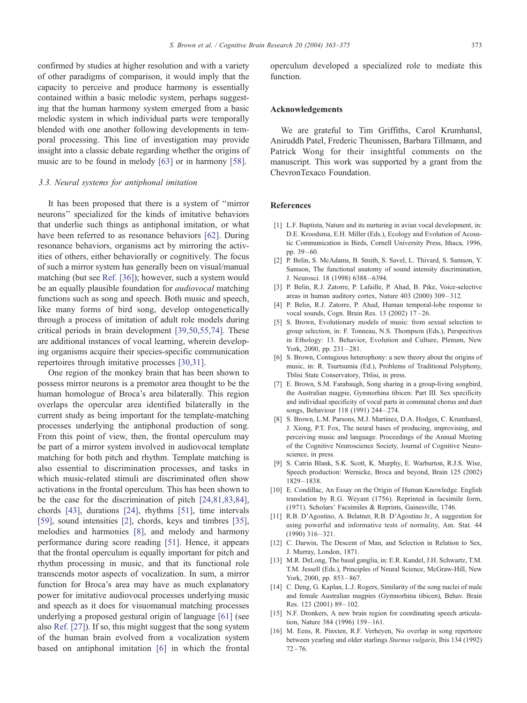<span id="page-10-0"></span>confirmed by studies at higher resolution and with a variety of other paradigms of comparison, it would imply that the capacity to perceive and produce harmony is essentially contained within a basic melodic system, perhaps suggesting that the human harmony system emerged from a basic melodic system in which individual parts were temporally blended with one another following developments in temporal processing. This line of investigation may provide insight into a classic debate regarding whether the origins of music are to be found in melody [\[63\]](#page-12-0) or in harmony [\[58\].](#page-11-0)

#### 3.3. Neural systems for antiphonal imitation

It has been proposed that there is a system of ''mirror neurons'' specialized for the kinds of imitative behaviors that underlie such things as antiphonal imitation, or what have been referred to as resonance behaviors [\[62\].](#page-11-0) During resonance behaviors, organisms act by mirroring the activities of others, either behaviorally or cognitively. The focus of such a mirror system has generally been on visual/manual matching (but see [Ref. \[36\]\)](#page-11-0); however, such a system would be an equally plausible foundation for audiovocal matching functions such as song and speech. Both music and speech, like many forms of bird song, develop ontogenetically through a process of imitation of adult role models during critical periods in brain development [\[39,50,55,74\].](#page-11-0) These are additional instances of vocal learning, wherein developing organisms acquire their species-specific communication repertoires through imitative processes [\[30,31\].](#page-11-0)

One region of the monkey brain that has been shown to possess mirror neurons is a premotor area thought to be the human homologue of Broca's area bilaterally. This region overlaps the opercular area identified bilaterally in the current study as being important for the template-matching processes underlying the antiphonal production of song. From this point of view, then, the frontal operculum may be part of a mirror system involved in audiovocal template matching for both pitch and rhythm. Template matching is also essential to discrimination processes, and tasks in which music-related stimuli are discriminated often show activations in the frontal operculum. This has been shown to be the case for the discrimination of pitch [\[24,81,83,84\],](#page-11-0) chords [\[43\],](#page-11-0) durations [\[24\],](#page-11-0) rhythms [\[51\],](#page-11-0) time intervals [\[59\],](#page-11-0) sound intensities [2], chords, keys and timbres [\[35\],](#page-11-0) melodies and harmonies [8], and melody and harmony performance during score reading [\[51\].](#page-11-0) Hence, it appears that the frontal operculum is equally important for pitch and rhythm processing in music, and that its functional role transcends motor aspects of vocalization. In sum, a mirror function for Broca's area may have as much explanatory power for imitative audiovocal processes underlying music and speech as it does for visuomanual matching processes underlying a proposed gestural origin of language [\[61\]](#page-11-0) (see also [Ref. \[27\]\)](#page-11-0). If so, this might suggest that the song system of the human brain evolved from a vocalization system based on antiphonal imitation [6] in which the frontal

operculum developed a specialized role to mediate this function.

#### Acknowledgements

We are grateful to Tim Griffiths, Carol Krumhansl, Aniruddh Patel, Frederic Theunissen, Barbara Tillmann, and Patrick Wong for their insightful comments on the manuscript. This work was supported by a grant from the ChevronTexaco Foundation.

#### References

- [1] L.F. Baptista, Nature and its nurturing in avian vocal development, in: D.E. Kroodsma, E.H. Miller (Eds.), Ecology and Evolution of Acoustic Communication in Birds, Cornell University Press, Ithaca, 1996, pp. 39 – 60.
- [2] P. Belin, S. McAdams, B. Smith, S. Savel, L. Thivard, S. Samson, Y. Samson, The functional anatomy of sound intensity discrimination, J. Neurosci. 18 (1998) 6388 – 6394.
- [3] P. Belin, R.J. Zatorre, P. Lafaille, P. Ahad, B. Pike, Voice-selective areas in human auditory cortex, Nature 403 (2000) 309 – 312.
- [4] P. Belin, R.J. Zatorre, P. Ahad, Human temporal-lobe response to vocal sounds, Cogn. Brain Res. 13 (2002) 17 – 26.
- [5] S. Brown, Evolutionary models of music: from sexual selection to group selection, in: F. Tonneau, N.S. Thompson (Eds.), Perspectives in Ethology: 13. Behavior, Evolution and Culture, Plenum, New York, 2000, pp. 231-281.
- [6] S. Brown, Contagious heterophony: a new theory about the origins of music, in: R. Tsurtsumia (Ed.), Problems of Traditional Polyphony, Tblisi State Conservatory, Tblisi, in press.
- [7] E. Brown, S.M. Farabaugh, Song sharing in a group-living songbird, the Australian magpie, Gymnorhina tibicen: Part III. Sex specificity and individual specificity of vocal parts in communal chorus and duet songs, Behaviour 118 (1991) 244 – 274.
- [8] S. Brown, L.M. Parsons, M.J. Martinez, D.A. Hodges, C. Krumhansl, J. Xiong, P.T. Fox, The neural bases of producing, improvising, and perceiving music and language. Proceedings of the Annual Meeting of the Cognitive Neuroscience Society, Journal of Cognitive Neuroscience, in press.
- [9] S. Catrin Blank, S.K. Scott, K. Murphy, E. Warburton, R.J.S. Wise, Speech production: Wernicke, Broca and beyond, Brain 125 (2002) 1829 – 1838.
- [10] E. Condillac, An Essay on the Origin of Human Knowledge. English translation by R.G. Weyant (1756). Reprinted in facsimile form, (1971). Scholars' Facsimiles & Reprints, Gainesville, 1746.
- [11] R.B. D'Agostino, A. Belatner, R.B. D'Agostino Jr., A suggestion for using powerful and informative tests of normality, Am. Stat. 44  $(1990)$  316 – 321.
- [12] C. Darwin, The Descent of Man, and Selection in Relation to Sex, J. Murray, London, 1871.
- [13] M.R. DeLong, The basal ganglia, in: E.R. Kandel, J.H. Schwartz, T.M. T.M. Jessell (Eds.), Principles of Neural Science, McGraw-Hill, New York, 2000, pp. 853-867.
- [14] C. Deng, G. Kaplan, L.J. Rogers, Similarity of the song nuclei of male and female Australian magpies (Gymnorhina tibicen), Behav. Brain Res. 123 (2001) 89-102.
- [15] N.F. Dronkers, A new brain region for coordinating speech articulation, Nature 384 (1996) 159-161.
- [16] M. Eens, R. Pinxten, R.F. Verheyen, No overlap in song repertoire between yearling and older starlings Sturnus vulgaris, Ibis 134 (1992)  $72 - 76.$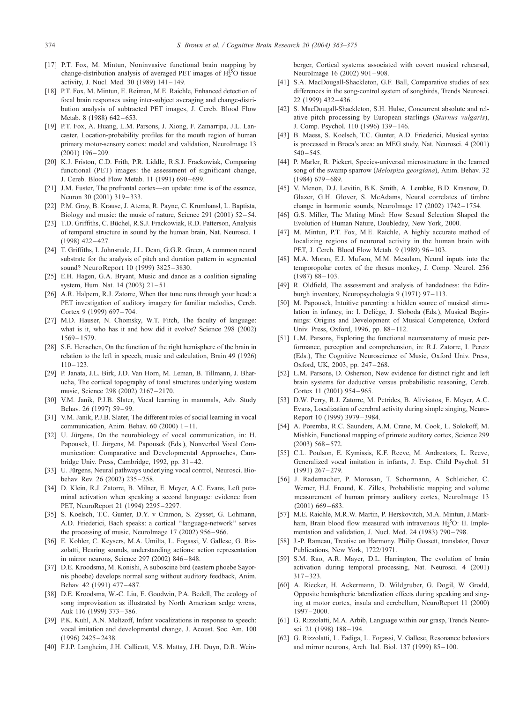- <span id="page-11-0"></span>[17] P.T. Fox, M. Mintun, Noninvasive functional brain mapping by change-distribution analysis of averaged PET images of  $H_2^{15}O$  tissue activity, J. Nucl. Med. 30 (1989) 141 – 149.
- [18] P.T. Fox, M. Mintun, E. Reiman, M.E. Raichle, Enhanced detection of focal brain responses using inter-subject averaging and change-distribution analysis of subtracted PET images, J. Cereb. Blood Flow Metab. 8 (1988) 642-653.
- [19] P.T. Fox, A. Huang, L.M. Parsons, J. Xiong, F. Zamarripa, J.L. Lancaster, Location-probability profiles for the mouth region of human primary motor-sensory cortex: model and validation, NeuroImage 13  $(2001)$  196 – 209.
- [20] K.J. Friston, C.D. Frith, P.R. Liddle, R.S.J. Frackowiak, Comparing functional (PET) images: the assessment of significant change, J. Cereb. Blood Flow Metab. 11 (1991) 690 – 699.
- [21] J.M. Fuster, The prefrontal cortex—an update: time is of the essence, Neuron 30 (2001) 319–333.
- [22] P.M. Gray, B. Krause, J. Atema, R. Payne, C. Krumhansl, L. Baptista, Biology and music: the music of nature, Science 291 (2001) 52-54.
- [23] T.D. Griffiths, C. Büchel, R.S.J. Frackowiak, R.D. Patterson, Analysis of temporal structure in sound by the human brain, Nat. Neurosci. 1  $(1998)$  422-427.
- [24] T. Griffiths, I. Johnsrude, J.L. Dean, G.G.R. Green, A common neural substrate for the analysis of pitch and duration pattern in segmented sound? NeuroReport 10 (1999) 3825-3830.
- [25] E.H. Hagen, G.A. Bryant, Music and dance as a coalition signaling system, Hum. Nat. 14 (2003) 21-51.
- [26] A.R. Halpern, R.J. Zatorre, When that tune runs through your head: a PET investigation of auditory imagery for familiar melodies, Cereb. Cortex 9 (1999) 697-704.
- [27] M.D. Hauser, N. Chomsky, W.T. Fitch, The faculty of language: what is it, who has it and how did it evolve? Science 298 (2002) 1569 – 1579.
- [28] S.E. Henschen, On the function of the right hemisphere of the brain in relation to the left in speech, music and calculation, Brain 49 (1926)  $110 - 123$
- [29] P. Janata, J.L. Birk, J.D. Van Horn, M. Leman, B. Tillmann, J. Bharucha, The cortical topography of tonal structures underlying western music, Science 298 (2002) 2167 – 2170.
- [30] V.M. Janik, P.J.B. Slater, Vocal learning in mammals, Adv. Study Behav. 26 (1997) 59 – 99.
- [31] V.M. Janik, P.J.B. Slater, The different roles of social learning in vocal communication, Anim. Behav.  $60$  (2000)  $1 - 11$ .
- [32] U. Jürgens, On the neurobiology of vocal communication, in: H. Papousek, U. Jürgens, M. Papousek (Eds.), Nonverbal Vocal Communication: Comparative and Developmental Approaches, Cambridge Univ. Press, Cambridge, 1992, pp. 31-42.
- [33] U. Jürgens, Neural pathways underlying vocal control, Neurosci. Biobehav. Rev. 26 (2002) 235 – 258.
- [34] D. Klein, R.J. Zatorre, B. Milner, E. Meyer, A.C. Evans, Left putaminal activation when speaking a second language: evidence from PET, NeuroReport 21 (1994) 2295 – 2297.
- [35] S. Koelsch, T.C. Gunter, D.Y. v Cramon, S. Zysset, G. Lohmann, A.D. Friederici, Bach speaks: a cortical ''language-network'' serves the processing of music, NeuroImage 17 (2002) 956 – 966.
- [36] E. Kohler, C. Keysers, M.A. Umilta, L. Fogassi, V. Gallese, G. Rizzolatti, Hearing sounds, understanding actions: action representation in mirror neurons, Science 297 (2002) 846 – 848.
- [37] D.E. Kroodsma, M. Konishi, A suboscine bird (eastern phoebe Sayornis phoebe) develops normal song without auditory feedback, Anim. Behav. 42 (1991) 477 – 487.
- [38] D.E. Kroodsma, W.-C. Liu, E. Goodwin, P.A. Bedell, The ecology of song improvisation as illustrated by North American sedge wrens, Auk 116 (1999) 373 – 386.
- [39] P.K. Kuhl, A.N. Meltzoff, Infant vocalizations in response to speech: vocal imitation and developmental change, J. Acoust. Soc. Am. 100  $(1996)$  2425 – 2438
- [40] F.J.P. Langheim, J.H. Callicott, V.S. Mattay, J.H. Duyn, D.R. Wein-

berger, Cortical systems associated with covert musical rehearsal, NeuroImage 16 (2002) 901 – 908.

- [41] S.A. MacDougall-Shackleton, G.F. Ball, Comparative studies of sex differences in the song-control system of songbirds, Trends Neurosci. 22 (1999) 432 – 436.
- [42] S. MacDougall-Shackleton, S.H. Hulse, Concurrent absolute and relative pitch processing by European starlings (Sturnus vulgaris), J. Comp. Psychol. 110 (1996) 139 – 146.
- [43] B. Maess, S. Koelsch, T.C. Gunter, A.D. Friederici, Musical syntax is processed in Broca's area: an MEG study, Nat. Neurosci. 4 (2001)  $540 - 545$
- [44] P. Marler, R. Pickert, Species-universal microstructure in the learned song of the swamp sparrow (Melospiza georgiana), Anim. Behav. 32 (1984) 679 – 689.
- [45] V. Menon, D.J. Levitin, B.K. Smith, A. Lembke, B.D. Krasnow, D. Glazer, G.H. Glover, S. McAdams, Neural correlates of timbre change in harmonic sounds, NeuroImage 17 (2002) 1742 – 1754.
- [46] G.S. Miller, The Mating Mind: How Sexual Selection Shaped the Evolution of Human Nature, Doubleday, New York, 2000.
- [47] M. Mintun, P.T. Fox, M.E. Raichle, A highly accurate method of localizing regions of neuronal activity in the human brain with PET, J. Cereb. Blood Flow Metab. 9 (1989) 96-103.
- [48] M.A. Moran, E.J. Mufson, M.M. Mesulam, Neural inputs into the temporopolar cortex of the rhesus monkey, J. Comp. Neurol. 256  $(1987) 88 - 103.$
- [49] R. Oldfield, The assessment and analysis of handedness: the Edinburgh inventory, Neuropsychologia 9 (1971) 97-113.
- [50] M. Papousek, Intuitive parenting: a hidden source of musical stimulation in infancy, in: I. Deliège, J. Sloboda (Eds.), Musical Beginnings: Origins and Development of Musical Competence, Oxford Univ. Press, Oxford, 1996, pp. 88 – 112.
- [51] L.M. Parsons, Exploring the functional neuroanatomy of music performance, perception and comprehension, in: R.J. Zatorre, I. Peretz (Eds.), The Cognitive Neuroscience of Music, Oxford Univ. Press, Oxford, UK, 2003, pp. 247-268.
- [52] L.M. Parsons, D. Osherson, New evidence for distinct right and left brain systems for deductive versus probabilistic reasoning, Cereb. Cortex 11 (2001) 954 – 965.
- [53] D.W. Perry, R.J. Zatorre, M. Petrides, B. Alivisatos, E. Meyer, A.C. Evans, Localization of cerebral activity during simple singing, Neuro-Report 10 (1999) 3979 – 3984.
- [54] A. Poremba, R.C. Saunders, A.M. Crane, M. Cook, L. Solokoff, M. Mishkin, Functional mapping of primate auditory cortex, Science 299  $(2003)$  568 – 572.
- [55] C.L. Poulson, E. Kymissis, K.F. Reeve, M. Andreators, L. Reeve, Generalized vocal imitation in infants, J. Exp. Child Psychol. 51  $(1991)$  267-279.
- [56] J. Rademacher, P. Morosan, T. Schormann, A. Schleicher, C. Werner, H.J. Freund, K. Zilles, Probabilistic mapping and volume measurement of human primary auditory cortex, NeuroImage 13  $(2001)$  669 – 683.
- [57] M.E. Raichle, M.R.W. Martin, P. Herskovitch, M.A. Mintun, J.Markham, Brain blood flow measured with intravenous  $H_2^{15}O$ : II. Implementation and validation, J. Nucl. Med. 24 (1983) 790-798.
- [58] J.-P. Rameau, Treatise on Harmony. Philip Gossett, translator, Dover Publications, New York, 1722/1971.
- [59] S.M. Rao, A.R. Mayer, D.L. Harrington, The evolution of brain activation during temporal processing, Nat. Neurosci. 4 (2001)  $317 - 323$
- [60] A. Riecker, H. Ackermann, D. Wildgruber, G. Dogil, W. Grodd, Opposite hemispheric lateralization effects during speaking and singing at motor cortex, insula and cerebellum, NeuroReport 11 (2000) 1997 – 2000.
- [61] G. Rizzolatti, M.A. Arbib, Language within our grasp, Trends Neurosci. 21 (1998) 188 – 194.
- [62] G. Rizzolatti, L. Fadiga, L. Fogassi, V. Gallese, Resonance behaviors and mirror neurons, Arch. Ital. Biol. 137 (1999) 85 – 100.